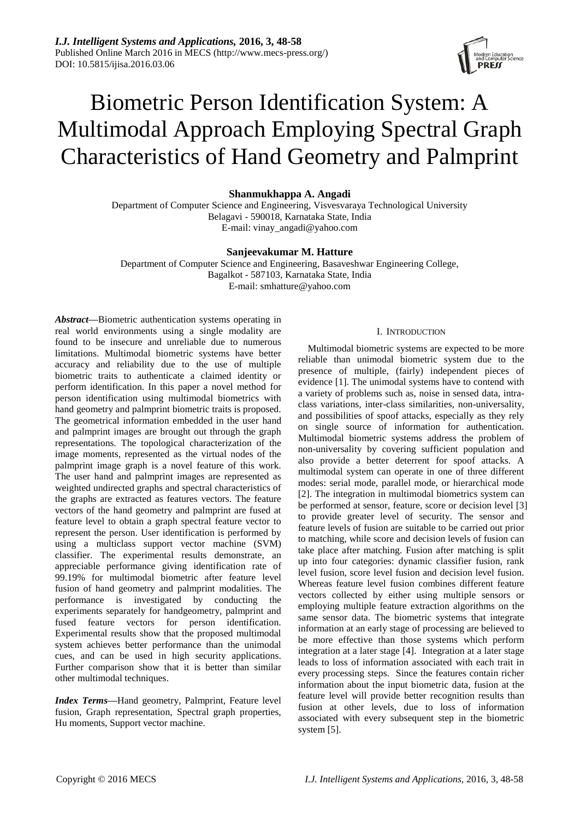

# Biometric Person Identification System: A Multimodal Approach Employing Spectral Graph Characteristics of Hand Geometry and Palmprint

# **Shanmukhappa A. Angadi**

Department of Computer Science and Engineering, Visvesvaraya Technological University Belagavi - 590018, Karnataka State, India E-mail: vinay\_angadi@yahoo.com

# **Sanjeevakumar M. Hatture**

Department of Computer Science and Engineering, Basaveshwar Engineering College, Bagalkot - 587103, Karnataka State, India E-mail: smhatture@yahoo.com

*Abstract***—**Biometric authentication systems operating in real world environments using a single modality are found to be insecure and unreliable due to numerous limitations. Multimodal biometric systems have better accuracy and reliability due to the use of multiple biometric traits to authenticate a claimed identity or perform identification. In this paper a novel method for person identification using multimodal biometrics with hand geometry and palmprint biometric traits is proposed. The geometrical information embedded in the user hand and palmprint images are brought out through the graph representations. The topological characterization of the image moments, represented as the virtual nodes of the palmprint image graph is a novel feature of this work. The user hand and palmprint images are represented as weighted undirected graphs and spectral characteristics of the graphs are extracted as features vectors. The feature vectors of the hand geometry and palmprint are fused at feature level to obtain a graph spectral feature vector to represent the person. User identification is performed by using a multiclass support vector machine (SVM) classifier. The experimental results demonstrate, an appreciable performance giving identification rate of 99.19% for multimodal biometric after feature level fusion of hand geometry and palmprint modalities. The performance is investigated by conducting the experiments separately for handgeometry, palmprint and fused feature vectors for person identification. Experimental results show that the proposed multimodal system achieves better performance than the unimodal cues, and can be used in high security applications. Further comparison show that it is better than similar other multimodal techniques.

*Index Terms***—**Hand geometry, Palmprint, Feature level fusion, Graph representation, Spectral graph properties, Hu moments, Support vector machine.

#### I. INTRODUCTION

Multimodal biometric systems are expected to be more reliable than unimodal biometric system due to the presence of multiple, (fairly) independent pieces of evidence [1]. The unimodal systems have to contend with a variety of problems such as, noise in sensed data, intraclass variations, inter-class similarities, non-universality, and possibilities of spoof attacks, especially as they rely on single source of information for authentication. Multimodal biometric systems address the problem of non-universality by covering sufficient population and also provide a better deterrent for spoof attacks. A multimodal system can operate in one of three different modes: serial mode, parallel mode, or hierarchical mode [2]. The integration in multimodal biometrics system can be performed at sensor, feature, score or decision level [3] to provide greater level of security. The sensor and feature levels of fusion are suitable to be carried out prior to matching, while score and decision levels of fusion can take place after matching. Fusion after matching is split up into four categories: dynamic classifier fusion, rank level fusion, score level fusion and decision level fusion. Whereas feature level fusion combines different feature vectors collected by either using multiple sensors or employing multiple feature extraction algorithms on the same sensor data. The biometric systems that integrate information at an early stage of processing are believed to be more effective than those systems which perform integration at a later stage [4]. Integration at a later stage leads to loss of information associated with each trait in every processing steps. Since the features contain richer information about the input biometric data, fusion at the feature level will provide better recognition results than fusion at other levels, due to loss of information associated with every subsequent step in the biometric system [5].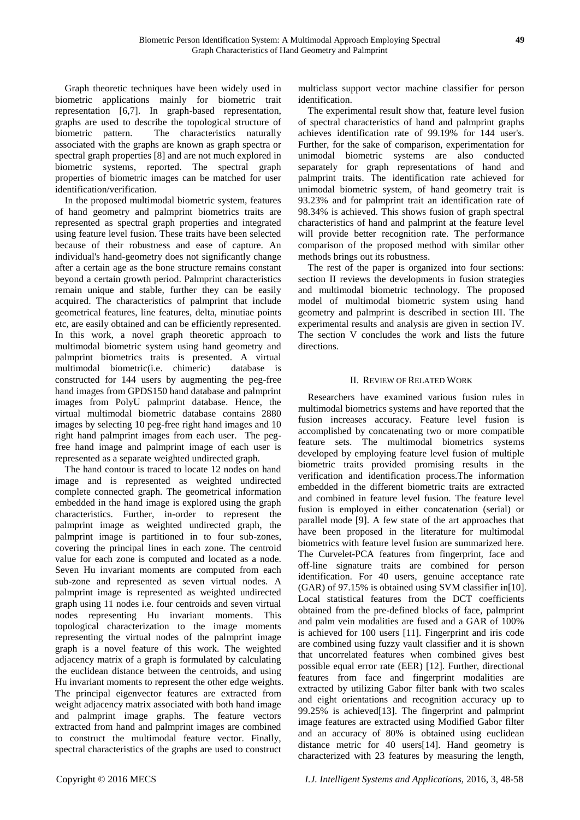Graph theoretic techniques have been widely used in biometric applications mainly for biometric trait representation [6,7]. In graph-based representation, graphs are used to describe the topological structure of biometric pattern. The characteristics naturally associated with the graphs are known as graph spectra or spectral graph properties [8] and are not much explored in biometric systems, reported. The spectral graph properties of biometric images can be matched for user identification/verification.

In the proposed multimodal biometric system, features of hand geometry and palmprint biometrics traits are represented as spectral graph properties and integrated using feature level fusion. These traits have been selected because of their robustness and ease of capture. An individual's hand-geometry does not significantly change after a certain age as the bone structure remains constant beyond a certain growth period. Palmprint characteristics remain unique and stable, further they can be easily acquired. The characteristics of palmprint that include geometrical features, line features, delta, minutiae points etc, are easily obtained and can be efficiently represented. In this work, a novel graph theoretic approach to multimodal biometric system using hand geometry and palmprint biometrics traits is presented. A virtual multimodal biometric(i.e. chimeric) database is constructed for 144 users by augmenting the peg-free hand images from GPDS150 hand database and palmprint images from PolyU palmprint database. Hence, the virtual multimodal biometric database contains 2880 images by selecting 10 peg-free right hand images and 10 right hand palmprint images from each user. The pegfree hand image and palmprint image of each user is represented as a separate weighted undirected graph.

The hand contour is traced to locate 12 nodes on hand image and is represented as weighted undirected complete connected graph. The geometrical information embedded in the hand image is explored using the graph characteristics. Further, in-order to represent the palmprint image as weighted undirected graph, the palmprint image is partitioned in to four sub-zones, covering the principal lines in each zone. The centroid value for each zone is computed and located as a node. Seven Hu invariant moments are computed from each sub-zone and represented as seven virtual nodes. A palmprint image is represented as weighted undirected graph using 11 nodes i.e. four centroids and seven virtual nodes representing Hu invariant moments. This topological characterization to the image moments representing the virtual nodes of the palmprint image graph is a novel feature of this work. The weighted adjacency matrix of a graph is formulated by calculating the euclidean distance between the centroids, and using Hu invariant moments to represent the other edge weights. The principal eigenvector features are extracted from weight adjacency matrix associated with both hand image and palmprint image graphs. The feature vectors extracted from hand and palmprint images are combined to construct the multimodal feature vector. Finally, spectral characteristics of the graphs are used to construct

multiclass support vector machine classifier for person identification.

The experimental result show that, feature level fusion of spectral characteristics of hand and palmprint graphs achieves identification rate of 99.19% for 144 user's. Further, for the sake of comparison, experimentation for unimodal biometric systems are also conducted separately for graph representations of hand and palmprint traits. The identification rate achieved for unimodal biometric system, of hand geometry trait is 93.23% and for palmprint trait an identification rate of 98.34% is achieved. This shows fusion of graph spectral characteristics of hand and palmprint at the feature level will provide better recognition rate. The performance comparison of the proposed method with similar other methods brings out its robustness.

The rest of the paper is organized into four sections: section II reviews the developments in fusion strategies and multimodal biometric technology. The proposed model of multimodal biometric system using hand geometry and palmprint is described in section III. The experimental results and analysis are given in section IV. The section V concludes the work and lists the future directions.

# II. REVIEW OF RELATED WORK

Researchers have examined various fusion rules in multimodal biometrics systems and have reported that the fusion increases accuracy. Feature level fusion is accomplished by concatenating two or more compatible feature sets. The multimodal biometrics systems developed by employing feature level fusion of multiple biometric traits provided promising results in the verification and identification process.The information embedded in the different biometric traits are extracted and combined in feature level fusion. The feature level fusion is employed in either concatenation (serial) or parallel mode [9]. A few state of the art approaches that have been proposed in the literature for multimodal biometrics with feature level fusion are summarized here. The Curvelet-PCA features from fingerprint, face and off-line signature traits are combined for person identification. For 40 users, genuine acceptance rate (GAR) of 97.15% is obtained using SVM classifier in[10]. Local statistical features from the DCT coefficients obtained from the pre-defined blocks of face, palmprint and palm vein modalities are fused and a GAR of 100% is achieved for 100 users [11]. Fingerprint and iris code are combined using fuzzy vault classifier and it is shown that uncorrelated features when combined gives best possible equal error rate (EER) [12]. Further, directional features from face and fingerprint modalities are extracted by utilizing Gabor filter bank with two scales and eight orientations and recognition accuracy up to 99.25% is achieved[13]. The fingerprint and palmprint image features are extracted using Modified Gabor filter and an accuracy of 80% is obtained using euclidean distance metric for 40 users[14]. Hand geometry is characterized with 23 features by measuring the length,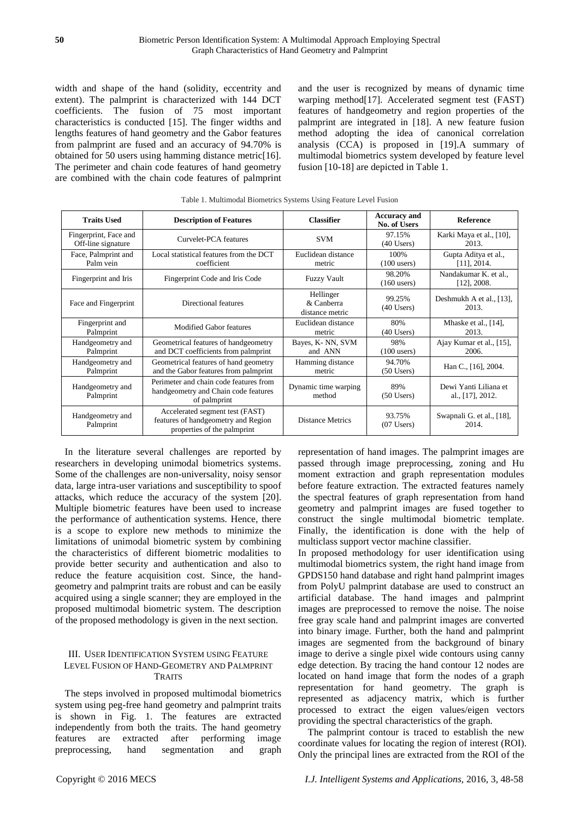width and shape of the hand (solidity, eccentrity and extent). The palmprint is characterized with 144 DCT coefficients. The fusion of 75 most important characteristics is conducted [15]. The finger widths and lengths features of hand geometry and the Gabor features from palmprint are fused and an accuracy of 94.70% is obtained for 50 users using hamming distance metric[16]. The perimeter and chain code features of hand geometry are combined with the chain code features of palmprint and the user is recognized by means of dynamic time warping method<sup>[17]</sup>. Accelerated segment test (FAST) features of handgeometry and region properties of the palmprint are integrated in [18]. A new feature fusion method adopting the idea of canonical correlation analysis (CCA) is proposed in [19].A summary of multimodal biometrics system developed by feature level fusion [10-18] are depicted in Table 1.

| <b>Traits Used</b>                          | <b>Description of Features</b>                                                                        | <b>Classifier</b>                             | <b>Accuracy and</b><br><b>No. of Users</b> |                                           |  |  |  |
|---------------------------------------------|-------------------------------------------------------------------------------------------------------|-----------------------------------------------|--------------------------------------------|-------------------------------------------|--|--|--|
| Fingerprint, Face and<br>Off-line signature | Curvelet-PCA features                                                                                 | <b>SVM</b>                                    | 97.15%<br>$(40$ Users)                     | Karki Maya et al., [10],<br>2013.         |  |  |  |
| Face, Palmprint and<br>Palm vein            | Local statistical features from the DCT<br>Euclidean distance<br>coefficient<br>metric                |                                               | 100\%<br>$(100$ users)                     | Gupta Aditya et al.,<br>$[11]$ , 2014.    |  |  |  |
| Fingerprint and Iris                        | Fingerprint Code and Iris Code                                                                        | 98.20%<br><b>Fuzzy Vault</b><br>$(160$ users) |                                            | Nandakumar K. et al.,<br>$[12]$ , 2008.   |  |  |  |
| Face and Fingerprint                        | Hellinger<br>99.25%<br>Directional features<br>& Canberra<br>$(40$ Users)<br>distance metric          |                                               | Deshmukh A et al., [13],<br>2013.          |                                           |  |  |  |
| Fingerprint and<br>Palmprint                | Modified Gabor features                                                                               | Euclidean distance<br>metric                  | 80%<br>$(40$ Users)                        | Mhaske et al., $[14]$ ,<br>2013.          |  |  |  |
| Handgeometry and<br>Palmprint               | Geometrical features of handgeometry<br>and DCT coefficients from palmprint                           | Bayes, K-NN, SVM<br>and ANN                   | 98%<br>$(100$ users)                       | Ajay Kumar et al., [15],<br>2006.         |  |  |  |
| Handgeometry and<br>Palmprint               | Geometrical features of hand geometry<br>and the Gabor features from palmprint                        | Hamming distance<br>metric                    | 94.70%<br>$(50$ Users)                     | Han C., [16], 2004.                       |  |  |  |
| Handgeometry and<br>Palmprint               | Perimeter and chain code features from<br>handgeometry and Chain code features<br>of palmprint        |                                               | 89%<br>$(50$ Users)                        | Dewi Yanti Liliana et<br>al., [17], 2012. |  |  |  |
| Handgeometry and<br>Palmprint               | Accelerated segment test (FAST)<br>features of handgeometry and Region<br>properties of the palmprint | <b>Distance Metrics</b>                       | 93.75%<br>$(07$ Users)                     | Swapnali G. et al., [18],<br>2014.        |  |  |  |

Table 1. Multimodal Biometrics Systems Using Feature Level Fusion

In the literature several challenges are reported by researchers in developing unimodal biometrics systems. Some of the challenges are non-universality, noisy sensor data, large intra-user variations and susceptibility to spoof attacks, which reduce the accuracy of the system [20]. Multiple biometric features have been used to increase the performance of authentication systems. Hence, there is a scope to explore new methods to minimize the limitations of unimodal biometric system by combining the characteristics of different biometric modalities to provide better security and authentication and also to reduce the feature acquisition cost. Since, the handgeometry and palmprint traits are robust and can be easily acquired using a single scanner; they are employed in the proposed multimodal biometric system. The description of the proposed methodology is given in the next section.

## III. USER IDENTIFICATION SYSTEM USING FEATURE LEVEL FUSION OF HAND-GEOMETRY AND PALMPRINT **TRAITS**

The steps involved in proposed multimodal biometrics system using peg-free hand geometry and palmprint traits is shown in Fig. 1. The features are extracted independently from both the traits. The hand geometry features are extracted after performing image preprocessing, hand segmentation and graph

representation of hand images. The palmprint images are passed through image preprocessing, zoning and Hu moment extraction and graph representation modules before feature extraction. The extracted features namely the spectral features of graph representation from hand geometry and palmprint images are fused together to construct the single multimodal biometric template. Finally, the identification is done with the help of multiclass support vector machine classifier.

In proposed methodology for user identification using multimodal biometrics system, the right hand image from GPDS150 hand database and right hand palmprint images from PolyU palmprint database are used to construct an artificial database. The hand images and palmprint images are preprocessed to remove the noise. The noise free gray scale hand and palmprint images are converted into binary image. Further, both the hand and palmprint images are segmented from the background of binary image to derive a single pixel wide contours using canny edge detection. By tracing the hand contour 12 nodes are located on hand image that form the nodes of a graph representation for hand geometry. The graph is represented as adjacency matrix, which is further processed to extract the eigen values/eigen vectors providing the spectral characteristics of the graph.

The palmprint contour is traced to establish the new coordinate values for locating the region of interest (ROI). Only the principal lines are extracted from the ROI of the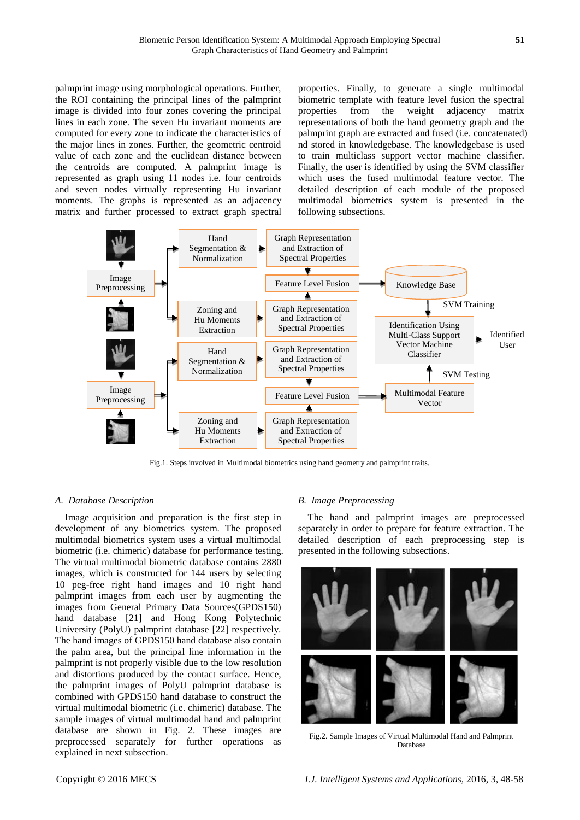palmprint image using morphological operations. Further, the ROI containing the principal lines of the palmprint image is divided into four zones covering the principal lines in each zone. The seven Hu invariant moments are computed for every zone to indicate the characteristics of the major lines in zones. Further, the geometric centroid value of each zone and the euclidean distance between the centroids are computed. A palmprint image is represented as graph using 11 nodes i.e. four centroids and seven nodes virtually representing Hu invariant moments. The graphs is represented as an adjacency matrix and further processed to extract graph spectral properties. Finally, to generate a single multimodal biometric template with feature level fusion the spectral properties from the weight adjacency matrix representations of both the hand geometry graph and the palmprint graph are extracted and fused (i.e. concatenated) nd stored in knowledgebase. The knowledgebase is used to train multiclass support vector machine classifier. Finally, the user is identified by using the SVM classifier which uses the fused multimodal feature vector. The detailed description of each module of the proposed multimodal biometrics system is presented in the following subsections.



Fig.1. Steps involved in Multimodal biometrics using hand geometry and palmprint traits.

## *A. Database Description*

Image acquisition and preparation is the first step in development of any biometrics system. The proposed multimodal biometrics system uses a virtual multimodal biometric (i.e. chimeric) database for performance testing. The virtual multimodal biometric database contains 2880 images, which is constructed for 144 users by selecting 10 peg-free right hand images and 10 right hand palmprint images from each user by augmenting the images from General Primary Data Sources(GPDS150) hand database [21] and Hong Kong Polytechnic University (PolyU) palmprint database [22] respectively. The hand images of GPDS150 hand database also contain the palm area, but the principal line information in the palmprint is not properly visible due to the low resolution and distortions produced by the contact surface. Hence, the palmprint images of PolyU palmprint database is combined with GPDS150 hand database to construct the virtual multimodal biometric (i.e. chimeric) database. The sample images of virtual multimodal hand and palmprint database are shown in Fig. 2. These images are preprocessed separately for further operations as explained in next subsection.

#### *B. Image Preprocessing*

The hand and palmprint images are preprocessed separately in order to prepare for feature extraction. The detailed description of each preprocessing step is presented in the following subsections.



Fig.2. Sample Images of Virtual Multimodal Hand and Palmprint Database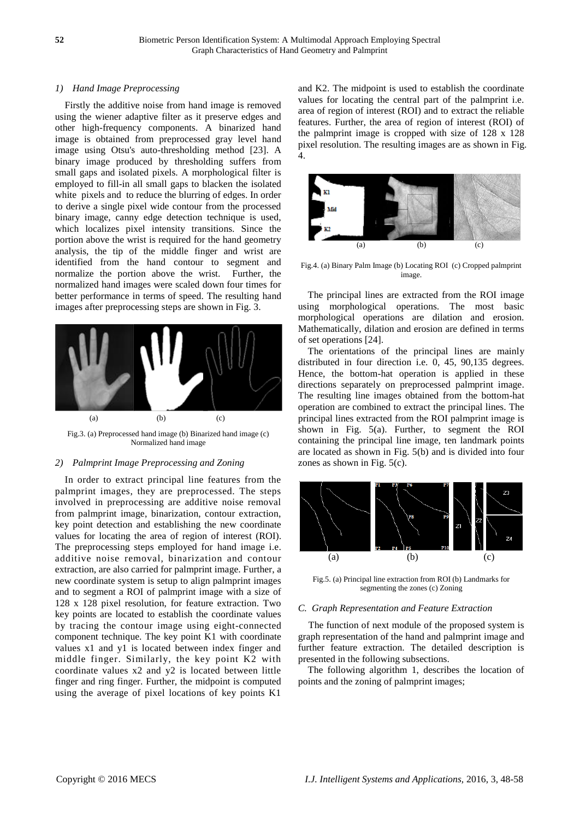### *1) Hand Image Preprocessing*

Firstly the additive noise from hand image is removed using the wiener adaptive filter as it preserve edges and other high-frequency components. A binarized hand image is obtained from preprocessed gray level hand image using Otsu's auto-thresholding method [23]. A binary image produced by thresholding suffers from small gaps and isolated pixels. A morphological filter is employed to fill-in all small gaps to blacken the isolated white pixels and to reduce the blurring of edges. In order to derive a single pixel wide contour from the processed binary image, canny edge detection technique is used, which localizes pixel intensity transitions. Since the portion above the wrist is required for the hand geometry analysis, the tip of the middle finger and wrist are identified from the hand contour to segment and normalize the portion above the wrist. Further, the normalized hand images were scaled down four times for better performance in terms of speed. The resulting hand images after preprocessing steps are shown in Fig. 3.



Fig.3. (a) Preprocessed hand image (b) Binarized hand image (c) Normalized hand image

# *2) Palmprint Image Preprocessing and Zoning*

In order to extract principal line features from the palmprint images, they are preprocessed. The steps involved in preprocessing are additive noise removal from palmprint image, binarization, contour extraction, key point detection and establishing the new coordinate values for locating the area of region of interest (ROI). The preprocessing steps employed for hand image i.e. additive noise removal, binarization and contour extraction, are also carried for palmprint image. Further, a new coordinate system is setup to align palmprint images and to segment a ROI of palmprint image with a size of 128 x 128 pixel resolution, for feature extraction. Two key points are located to establish the coordinate values by tracing the contour image using eight-connected component technique. The key point K1 with coordinate values x1 and y1 is located between index finger and middle finger. Similarly, the key point K2 with coordinate values x2 and y2 is located between little finger and ring finger. Further, the midpoint is computed using the average of pixel locations of key points K1

and K2. The midpoint is used to establish the coordinate values for locating the central part of the palmprint i.e. area of region of interest (ROI) and to extract the reliable features. Further, the area of region of interest (ROI) of the palmprint image is cropped with size of 128 x 128 pixel resolution. The resulting images are as shown in Fig. 4.



Fig.4. (a) Binary Palm Image (b) Locating ROI (c) Cropped palmprint image.

The principal lines are extracted from the ROI image using morphological operations. The most basic morphological operations are dilation and erosion. Mathematically, dilation and erosion are defined in terms of set operations [24].

The orientations of the principal lines are mainly distributed in four direction i.e. 0, 45, 90,135 degrees. Hence, the bottom-hat operation is applied in these directions separately on preprocessed palmprint image. The resulting line images obtained from the bottom-hat operation are combined to extract the principal lines. The principal lines extracted from the ROI palmprint image is shown in Fig. 5(a). Further, to segment the ROI containing the principal line image, ten landmark points are located as shown in Fig. 5(b) and is divided into four zones as shown in Fig. 5(c).



Fig.5. (a) Principal line extraction from ROI (b) Landmarks for segmenting the zones (c) Zoning

#### *C. Graph Representation and Feature Extraction*

The function of next module of the proposed system is graph representation of the hand and palmprint image and further feature extraction. The detailed description is presented in the following subsections.

The following algorithm 1, describes the location of points and the zoning of palmprint images;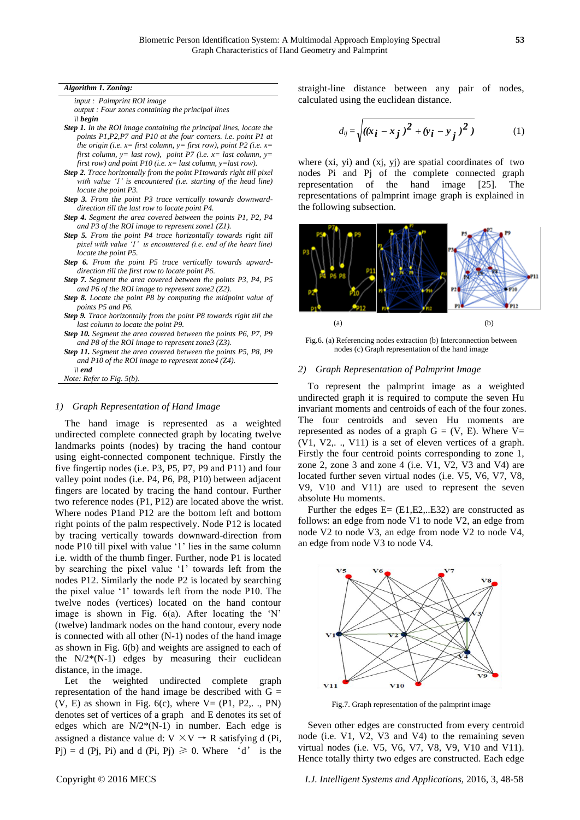#### *Algorithm 1. Zoning:*

*input : Palmprint ROI image* 

*output : Four zones containing the principal lines \\ begin* 

- *Step 1. In the ROI image containing the principal lines, locate the points P1,P2,P7 and P10 at the four corners. i.e. point P1 at the origin (i.e. x= first column, y= first row), point P2 (i.e. x= first column, y= last row), point P7 (i.e. x= last column, y= first row) and point P10 (i.e. x= last column, y=last row).*
- *Step 2. Trace horizontally from the point P1towards right till pixel with value '1' is encountered (i.e. starting of the head line) locate the point P3.*
- *Step 3. From the point P3 trace vertically towards downwarddirection till the last row to locate point P4.*
- *Step 4. Segment the area covered between the points P1, P2, P4 and P3 of the ROI image to represent zone1 (Z1).*
- *Step 5. From the point P4 trace horizontally towards right till pixel with value '1' is encountered (i.e. end of the heart line) locate the point P5.*
- *Step 6. From the point P5 trace vertically towards upwarddirection till the first row to locate point P6.*
- *Step 7. Segment the area covered between the points P3, P4, P5 and P6 of the ROI image to represent zone2 (Z2).*
- *Step 8. Locate the point P8 by computing the midpoint value of points P5 and P6.*
- *Step 9. Trace horizontally from the point P8 towards right till the last column to locate the point P9.*
- *Step 10. Segment the area covered between the points P6, P7, P9 and P8 of the ROI image to represent zone3 (Z3).*
- *Step 11. Segment the area covered between the points P5, P8, P9 and P10 of the ROI image to represent zone4 (Z4). \\ end*

*Note: Refer to Fig. 5(b).*

#### *1) Graph Representation of Hand Image*

The hand image is represented as a weighted undirected complete connected graph by locating twelve landmarks points (nodes) by tracing the hand contour using eight-connected component technique. Firstly the five fingertip nodes (i.e. P3, P5, P7, P9 and P11) and four valley point nodes (i.e. P4, P6, P8, P10) between adjacent fingers are located by tracing the hand contour. Further two reference nodes (P1, P12) are located above the wrist. Where nodes P1and P12 are the bottom left and bottom right points of the palm respectively. Node P12 is located by tracing vertically towards downward-direction from node P10 till pixel with value '1' lies in the same column i.e. width of the thumb finger. Further, node P1 is located by searching the pixel value '1' towards left from the nodes P12. Similarly the node P2 is located by searching the pixel value '1' towards left from the node P10. The twelve nodes (vertices) located on the hand contour image is shown in Fig. 6(a). After locating the 'N' (twelve) landmark nodes on the hand contour, every node is connected with all other (N-1) nodes of the hand image as shown in Fig. 6(b) and weights are assigned to each of the  $N/2*(N-1)$  edges by measuring their euclidean distance, in the image.

Let the weighted undirected complete graph representation of the hand image be described with  $G =$  $(V, E)$  as shown in Fig. 6(c), where  $V = (P1, P2, \ldots, PN)$ denotes set of vertices of a graph and E denotes its set of edges which are  $N/2*(N-1)$  in number. Each edge is assigned a distance value d:  $V \times V \rightarrow R$  satisfying d (Pi, Pj) = d (Pj, Pi) and d (Pi, Pj)  $\geq 0$ . Where 'd' is the straight-line distance between any pair of nodes, calculated using the euclidean distance.

$$
d_{ij} = \sqrt{((x_i - x_j)^2 + (y_i - y_j)^2)}
$$
 (1)

where (xi, yi) and (xj, yj) are spatial coordinates of two nodes Pi and Pj of the complete connected graph representation of the hand image [25]. The representations of palmprint image graph is explained in the following subsection.



Fig.6. (a) Referencing nodes extraction (b) Interconnection between nodes (c) Graph representation of the hand image

#### *2) Graph Representation of Palmprint Image*

To represent the palmprint image as a weighted undirected graph it is required to compute the seven Hu invariant moments and centroids of each of the four zones. The four centroids and seven Hu moments are represented as nodes of a graph  $G = (V, E)$ . Where  $V=$ (V1, V2,. ., V11) is a set of eleven vertices of a graph. Firstly the four centroid points corresponding to zone 1, zone 2, zone 3 and zone 4 (i.e. V1, V2, V3 and V4) are located further seven virtual nodes (i.e. V5, V6, V7, V8, V9, V10 and V11) are used to represent the seven absolute Hu moments.

Further the edges  $E = (E1, E2, \dots E32)$  are constructed as follows: an edge from node V1 to node V2, an edge from node V2 to node V3, an edge from node V2 to node V4, an edge from node V3 to node V4.



Fig.7. Graph representation of the palmprint image

Seven other edges are constructed from every centroid node (i.e. V1, V2, V3 and V4) to the remaining seven virtual nodes (i.e. V5, V6, V7, V8, V9, V10 and V11). Hence totally thirty two edges are constructed. Each edge

Copyright © 2016 MECS *I.J. Intelligent Systems and Applications,* 2016, 3, 48-58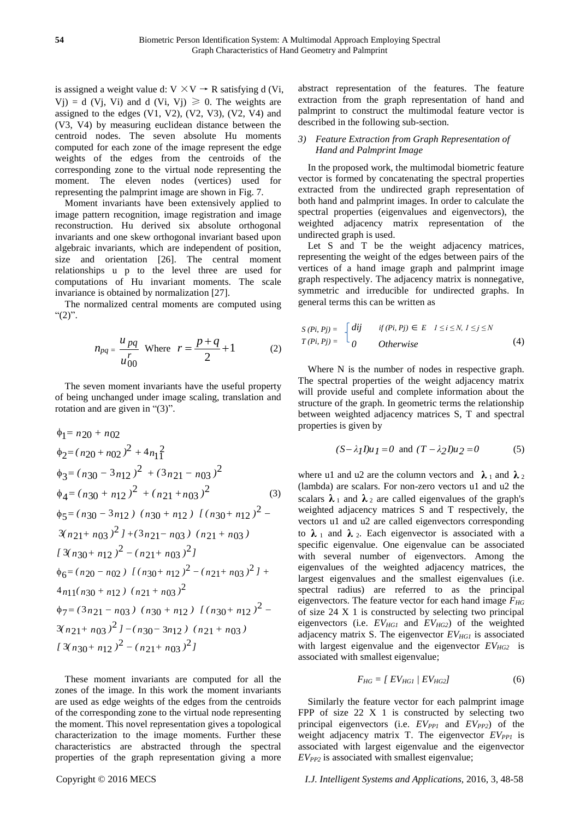is assigned a weight value d:  $V \times V \rightarrow R$  satisfying d (Vi,  $V(j) = d$  (V<sub>i</sub>, V<sub>i</sub>) and d (V<sub>i</sub>, V<sub>j</sub>)  $\geq 0$ . The weights are assigned to the edges  $(V1, V2)$ ,  $(V2, V3)$ ,  $(V2, V4)$  and (V3, V4) by measuring euclidean distance between the centroid nodes. The seven absolute Hu moments computed for each zone of the image represent the edge weights of the edges from the centroids of the corresponding zone to the virtual node representing the moment. The eleven nodes (vertices) used for representing the palmprint image are shown in Fig. 7.

Moment invariants have been extensively applied to image pattern recognition, image registration and image reconstruction. Hu derived six absolute orthogonal invariants and one skew orthogonal invariant based upon algebraic invariants, which are independent of position, size and orientation [26]. The central moment relationships u p to the level three are used for computations of Hu invariant moments. The scale invariance is obtained by normalization [27].

The normalized central moments are computed using " $(2)$ ".

$$
n_{pq} = \frac{u_{pq}}{u_{00}^r}
$$
 Where  $r = \frac{p+q}{2} + 1$  (2)

The seven moment invariants have the useful property of being unchanged under image scaling, translation and rotation and are given in "(3)".

$$
\phi_1 = n20 + n02
$$
\n
$$
\phi_2 = (n20 + n02)^2 + 4n_1^2
$$
\n
$$
\phi_3 = (n30 - 3n12)^2 + (3n21 - n03)^2
$$
\n
$$
\phi_4 = (n30 + n12)^2 + (n21 + n03)^2
$$
\n
$$
\phi_5 = (n30 - 3n12) (n30 + n12) [ (n30 + n12)^2 - 3(n21 + n03)^2] + (3n21 - n03) (n21 + n03)
$$
\n
$$
[3(n30 + n12)^2 - (n21 + n03)^2]
$$
\n
$$
\phi_6 = (n20 - n02) [ (n30 + n12)^2 - (n21 + n03)^2] + 4n1(n30 + n12) (n21 + n03)^2
$$
\n
$$
\phi_7 = (3n21 - n03) (n30 + n12) [ (n30 + n12)^2 - 3(n21 + n03)^2] - (n30 - 3n12) (n21 + n03)
$$
\n
$$
[3(n30 + n12)^2 - (n21 + n03)^2]
$$

These moment invariants are computed for all the zones of the image. In this work the moment invariants are used as edge weights of the edges from the centroids of the corresponding zone to the virtual node representing the moment. This novel representation gives a topological characterization to the image moments. Further these characteristics are abstracted through the spectral properties of the graph representation giving a more abstract representation of the features. The feature extraction from the graph representation of hand and palmprint to construct the multimodal feature vector is described in the following sub-section.

## *3) Feature Extraction from Graph Representation of Hand and Palmprint Image*

In the proposed work, the multimodal biometric feature vector is formed by concatenating the spectral properties extracted from the undirected graph representation of both hand and palmprint images. In order to calculate the spectral properties (eigenvalues and eigenvectors), the weighted adjacency matrix representation of the undirected graph is used.

Let S and T be the weight adjacency matrices, representing the weight of the edges between pairs of the vertices of a hand image graph and palmprint image graph respectively. The adjacency matrix is nonnegative, symmetric and irreducible for undirected graphs. In general terms this can be written as

$$
S(Pi, Pj) = \begin{cases} dij & if (Pi, Pj) \in E \quad 1 \le i \le N, \ 1 \le j \le N \\ 0 & Otherwise \end{cases}
$$
(4)

Where N is the number of nodes in respective graph. The spectral properties of the weight adjacency matrix will provide useful and complete information about the structure of the graph. In geometric terms the relationship between weighted adjacency matrices S, T and spectral properties is given by

$$
(S - \lambda_I I)u_I = 0 \text{ and } (T - \lambda_2 I)u_2 = 0 \tag{5}
$$

where u1 and u2 are the column vectors and  $\lambda_1$  and  $\lambda_2$ (lambda) are scalars. For non-zero vectors u1 and u2 the scalars  $\lambda_1$  and  $\lambda_2$  are called eigenvalues of the graph's weighted adjacency matrices S and T respectively, the vectors u1 and u2 are called eigenvectors corresponding to  $\lambda_1$  and  $\lambda_2$ . Each eigenvector is associated with a specific eigenvalue. One eigenvalue can be associated with several number of eigenvectors. Among the eigenvalues of the weighted adjacency matrices, the largest eigenvalues and the smallest eigenvalues (i.e. spectral radius) are referred to as the principal eigenvectors. The feature vector for each hand image *FHG* of size 24 X 1 is constructed by selecting two principal eigenvectors (i.e. *EVHG1* and *EVHG2*) of the weighted adjacency matrix S. The eigenvector *EVHG1* is associated with largest eigenvalue and the eigenvector  $EV_{HG2}$  is associated with smallest eigenvalue;

$$
F_{HG} = [EV_{HG1} / EV_{HG2}] \tag{6}
$$

Similarly the feature vector for each palmprint image FPP of size  $22 \times 1$  is constructed by selecting two principal eigenvectors (i.e.  $EV_{PP1}$  and  $EV_{PP2}$ ) of the weight adjacency matrix T. The eigenvector *EVPP1* is associated with largest eigenvalue and the eigenvector *EVPP2* is associated with smallest eigenvalue;

#### Copyright © 2016 MECS *I.J. Intelligent Systems and Applications,* 2016, 3, 48-58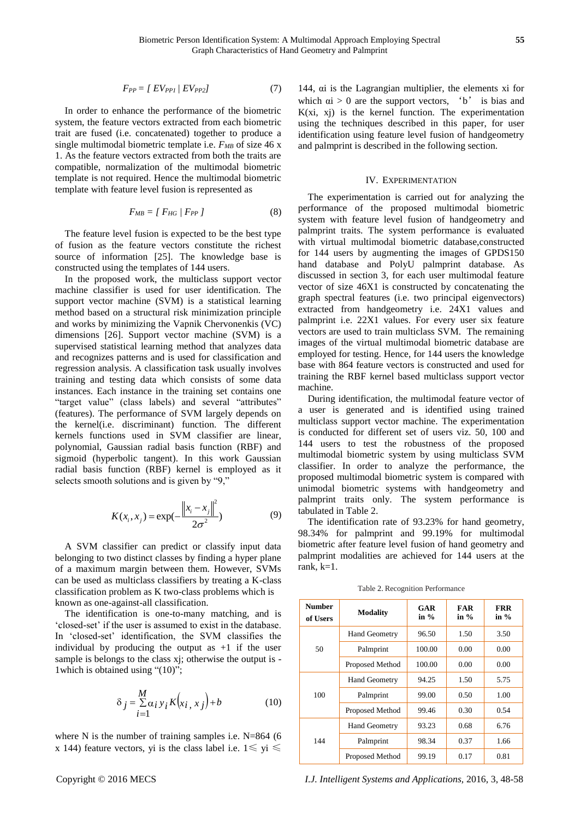$$
F_{PP} = [EV_{PPI} / EV_{PP2}] \tag{7}
$$

In order to enhance the performance of the biometric system, the feature vectors extracted from each biometric trait are fused (i.e. concatenated) together to produce a single multimodal biometric template i.e.  $F_{MB}$  of size 46 x 1. As the feature vectors extracted from both the traits are compatible, normalization of the multimodal biometric template is not required. Hence the multimodal biometric template with feature level fusion is represented as

$$
F_{MB} = [F_{HG} / F_{PP}] \tag{8}
$$

The feature level fusion is expected to be the best type of fusion as the feature vectors constitute the richest source of information [25]. The knowledge base is constructed using the templates of 144 users.

In the proposed work, the multiclass support vector machine classifier is used for user identification. The support vector machine (SVM) is a statistical learning method based on a structural risk minimization principle and works by minimizing the Vapnik Chervonenkis (VC) dimensions [26]. Support vector machine (SVM) is a supervised statistical learning method that analyzes data and recognizes patterns and is used for classification and regression analysis. A classification task usually involves training and testing data which consists of some data instances. Each instance in the training set contains one "target value" (class labels) and several "attributes" (features). The performance of SVM largely depends on the kernel(i.e. discriminant) function. The different kernels functions used in SVM classifier are linear, polynomial, Gaussian radial basis function (RBF) and sigmoid (hyperbolic tangent). In this work Gaussian radial basis function (RBF) kernel is employed as it selects smooth solutions and is given by "9,"

$$
K(x_i, x_j) = \exp(-\frac{\left\|x_i - x_j\right\|^2}{2\sigma^2})
$$
 (9)

A SVM classifier can predict or classify input data belonging to two distinct classes by finding a hyper plane of a maximum margin between them. However, SVMs can be used as multiclass classifiers by treating a K-class classification problem as K two-class problems which is known as one-against-all classification.

The identification is one-to-many matching, and is 'closed-set' if the user is assumed to exist in the database. In 'closed-set' identification, the SVM classifies the individual by producing the output as  $+1$  if the user sample is belongs to the class xj; otherwise the output is -1which is obtained using "(10)";

$$
\delta_j = \sum_{i=1}^{M} \alpha_i y_i K(x_i, x_j) + b \tag{10}
$$

where N is the number of training samples i.e. N=864 (6) x 144) feature vectors, yi is the class label i.e.  $1 \le y$ i  $\le$ 

144, αi is the Lagrangian multiplier, the elements xi for which  $\alpha i > 0$  are the support vectors, 'b' is bias and  $K(xi, xj)$  is the kernel function. The experimentation using the techniques described in this paper, for user identification using feature level fusion of handgeometry and palmprint is described in the following section.

#### IV. EXPERIMENTATION

The experimentation is carried out for analyzing the performance of the proposed multimodal biometric system with feature level fusion of handgeometry and palmprint traits. The system performance is evaluated with virtual multimodal biometric database,constructed for 144 users by augmenting the images of GPDS150 hand database and PolyU palmprint database. As discussed in section 3, for each user multimodal feature vector of size 46X1 is constructed by concatenating the graph spectral features (i.e. two principal eigenvectors) extracted from handgeometry i.e. 24X1 values and palmprint i.e. 22X1 values. For every user six feature vectors are used to train multiclass SVM. The remaining images of the virtual multimodal biometric database are employed for testing. Hence, for 144 users the knowledge base with 864 feature vectors is constructed and used for training the RBF kernel based multiclass support vector machine.

During identification, the multimodal feature vector of a user is generated and is identified using trained multiclass support vector machine. The experimentation is conducted for different set of users viz. 50, 100 and 144 users to test the robustness of the proposed multimodal biometric system by using multiclass SVM classifier. In order to analyze the performance, the proposed multimodal biometric system is compared with unimodal biometric systems with handgeometry and palmprint traits only. The system performance is tabulated in Table 2.

The identification rate of 93.23% for hand geometry, 98.34% for palmprint and 99.19% for multimodal biometric after feature level fusion of hand geometry and palmprint modalities are achieved for 144 users at the rank,  $k=1$ .

| Number<br>of Users | <b>Modality</b>        | GAR<br>in $%$ | <b>FAR</b><br>in $\%$ | FRR<br>in $%$ |
|--------------------|------------------------|---------------|-----------------------|---------------|
| 50                 | <b>Hand Geometry</b>   | 96.50         | 1.50                  | 3.50          |
|                    | Palmprint              | 100.00        | 0.00                  | 0.00          |
|                    | Proposed Method        | 100.00        | 0.00                  | 0.00          |
| 100                | <b>Hand Geometry</b>   | 94.25         | 1.50                  | 5.75          |
|                    | Palmprint              | 99.00         | 0.50                  | 1.00          |
|                    | <b>Proposed Method</b> | 99.46         | 0.30                  | 0.54          |
| 144                | <b>Hand Geometry</b>   | 93.23         | 0.68                  | 6.76          |
|                    | Palmprint              | 98.34         | 0.37                  | 1.66          |
|                    | <b>Proposed Method</b> | 99.19         | 0.17                  | 0.81          |

Table 2. Recognition Performance

Copyright © 2016 MECS *I.J. Intelligent Systems and Applications,* 2016, 3, 48-58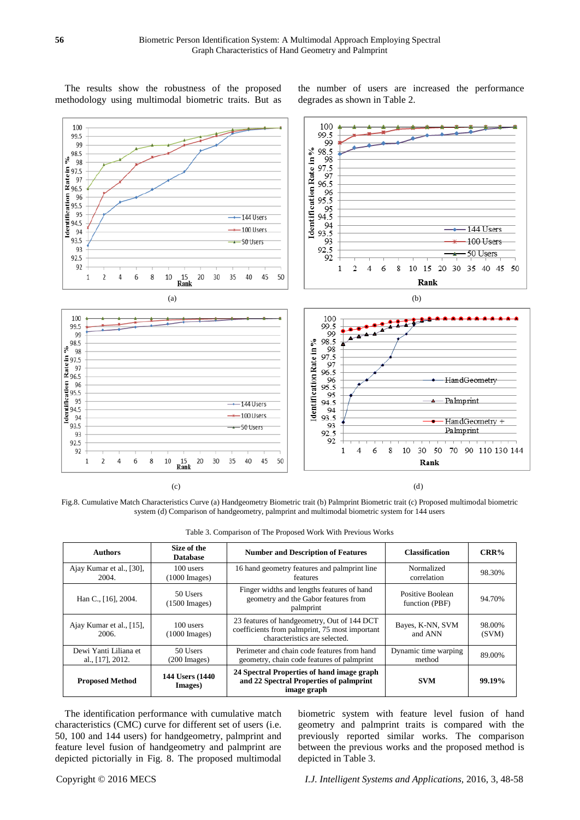The results show the robustness of the proposed methodology using multimodal biometric traits. But as the number of users are increased the performance degrades as shown in Table 2.



Fig.8. Cumulative Match Characteristics Curve (a) Handgeometry Biometric trait (b) Palmprint Biometric trait (c) Proposed multimodal biometric system (d) Comparison of handgeometry, palmprint and multimodal biometric system for 144 users

| Table 3. Comparison of The Proposed Work With Previous Works |  |
|--------------------------------------------------------------|--|
|--------------------------------------------------------------|--|

| <b>Authors</b>                            | Size of the<br><b>Database</b>       | <b>Number and Description of Features</b>                                                                                      | <b>Classification</b>              | $CRR\%$         |
|-------------------------------------------|--------------------------------------|--------------------------------------------------------------------------------------------------------------------------------|------------------------------------|-----------------|
| Ajay Kumar et al., [30],<br>2004.         | 100 users<br>$(1000$ Images)         | 16 hand geometry features and palmprint line<br>features                                                                       | Normalized<br>correlation          | 98.30%          |
| Han C., [16], 2004.                       | 50 Users<br>$(1500$ Images)          | Finger widths and lengths features of hand<br>geometry and the Gabor features from<br>palmprint                                | Positive Boolean<br>function (PBF) | 94.70%          |
| Ajay Kumar et al., [15],<br>2006.         | 100 users<br>$(1000 \text{ Images})$ | 23 features of handgeometry, Out of 144 DCT<br>coefficients from palmprint, 75 most important<br>characteristics are selected. | Bayes, K-NN, SVM<br>and ANN        | 98.00%<br>(SVM) |
| Dewi Yanti Liliana et<br>al., [17], 2012. | 50 Users<br>$(200 \text{ Images})$   | Perimeter and chain code features from hand<br>geometry, chain code features of palmprint                                      | Dynamic time warping<br>method     | 89.00%          |
| <b>Proposed Method</b>                    | 144 Users (1440)<br>Images)          | 24 Spectral Properties of hand image graph<br>and 22 Spectral Properties of palmprint<br>image graph                           | <b>SVM</b>                         | 99.19%          |

The identification performance with cumulative match characteristics (CMC) curve for different set of users (i.e. 50, 100 and 144 users) for handgeometry, palmprint and feature level fusion of handgeometry and palmprint are depicted pictorially in Fig. 8. The proposed multimodal biometric system with feature level fusion of hand geometry and palmprint traits is compared with the previously reported similar works. The comparison between the previous works and the proposed method is depicted in Table 3.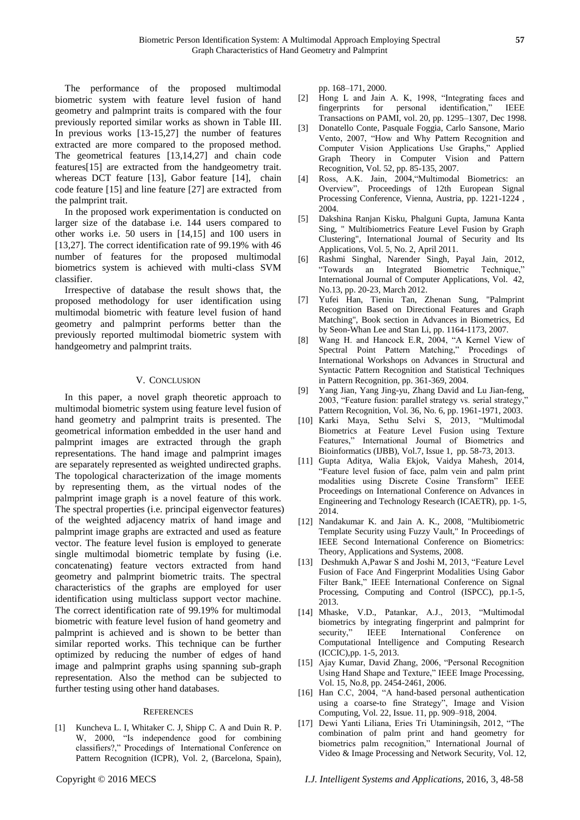The performance of the proposed multimodal biometric system with feature level fusion of hand geometry and palmprint traits is compared with the four previously reported similar works as shown in Table III. In previous works [13-15,27] the number of features extracted are more compared to the proposed method. The geometrical features [13,14,27] and chain code features[15] are extracted from the handgeometry trait. whereas DCT feature [13], Gabor feature [14], chain code feature [15] and line feature [27] are extracted from the palmprint trait.

In the proposed work experimentation is conducted on larger size of the database i.e. 144 users compared to other works i.e. 50 users in [14,15] and 100 users in [13,27]. The correct identification rate of 99.19% with 46 number of features for the proposed multimodal biometrics system is achieved with multi-class SVM classifier.

Irrespective of database the result shows that, the proposed methodology for user identification using multimodal biometric with feature level fusion of hand geometry and palmprint performs better than the previously reported multimodal biometric system with handgeometry and palmprint traits.

# V. CONCLUSION

In this paper, a novel graph theoretic approach to multimodal biometric system using feature level fusion of hand geometry and palmprint traits is presented. The geometrical information embedded in the user hand and palmprint images are extracted through the graph representations. The hand image and palmprint images are separately represented as weighted undirected graphs. The topological characterization of the image moments by representing them, as the virtual nodes of the palmprint image graph is a novel feature of this work. The spectral properties (i.e. principal eigenvector features) of the weighted adjacency matrix of hand image and palmprint image graphs are extracted and used as feature vector. The feature level fusion is employed to generate single multimodal biometric template by fusing (i.e. concatenating) feature vectors extracted from hand geometry and palmprint biometric traits. The spectral characteristics of the graphs are employed for user identification using multiclass support vector machine. The correct identification rate of 99.19% for multimodal biometric with feature level fusion of hand geometry and palmprint is achieved and is shown to be better than similar reported works. This technique can be further optimized by reducing the number of edges of hand image and palmprint graphs using spanning sub-graph representation. Also the method can be subjected to further testing using other hand databases.

## **REFERENCES**

[1] Kuncheva L. I, Whitaker C. J, Shipp C. A and Duin R. P. W, 2000, "Is independence good for combining classifiers?," Procedings of International Conference on Pattern Recognition (ICPR), Vol. 2, (Barcelona, Spain), pp. 168–171, 2000.

- [2] Hong L and Jain A. K, 1998, "Integrating faces and fingerprints for personal identification," IEEE Transactions on PAMI, vol. 20, pp. 1295–1307, Dec 1998.
- [3] Donatello Conte, Pasquale Foggia, Carlo Sansone, Mario Vento, 2007, "How and Why Pattern Recognition and Computer Vision Applications Use Graphs," Applied Graph Theory in Computer Vision and Pattern Recognition, Vol. 52, pp. 85-135, 2007.
- [4] Ross, A.K. Jain, 2004,"Multimodal Biometrics: an Overview", Proceedings of 12th European Signal Processing Conference, Vienna, Austria, pp. 1221-1224 , 2004.
- [5] Dakshina Ranjan Kisku, Phalguni Gupta, Jamuna Kanta Sing, " Multibiometrics Feature Level Fusion by Graph Clustering", International Journal of Security and Its Applications, Vol. 5, No. 2, April 2011.
- [6] Rashmi Singhal, Narender Singh, Payal Jain, 2012, "Towards an Integrated Biometric Technique," International Journal of Computer Applications, Vol. 42, No.13, pp. 20-23, March 2012.
- [7] Yufei Han, Tieniu Tan, Zhenan Sung, "Palmprint Recognition Based on Directional Features and Graph Matching", Book section in Advances in Biometrics, Ed by Seon-Whan Lee and Stan Li, pp. 1164-1173, 2007.
- [8] Wang H. and Hancock E.R, 2004, "A Kernel View of Spectral Point Pattern Matching," Procedings of International Workshops on Advances in Structural and Syntactic Pattern Recognition and Statistical Techniques in Pattern Recognition, pp. 361-369, 2004.
- [9] Yang Jian, Yang Jing-yu, Zhang David and Lu Jian-feng, 2003, "Feature fusion: parallel strategy vs. serial strategy," Pattern Recognition, Vol. 36, No. 6, pp. 1961-1971, 2003.
- [10] Karki Maya, Sethu Selvi S, 2013, "Multimodal Biometrics at Feature Level Fusion using Texture Features," International Journal of Biometrics and Bioinformatics (IJBB), Vol.7, Issue 1, pp. 58-73, 2013.
- [11] Gupta Aditya, Walia Ekjok, Vaidya Mahesh, 2014, "Feature level fusion of face, palm vein and palm print modalities using Discrete Cosine Transform" IEEE Proceedings on International Conference on Advances in Engineering and Technology Research (ICAETR), pp. 1-5, 2014.
- [12] Nandakumar K. and Jain A. K., 2008, "Multibiometric Template Security using Fuzzy Vault," In Proceedings of IEEE Second International Conference on Biometrics: Theory, Applications and Systems, 2008.
- [13] Deshmukh A,Pawar S and Joshi M, 2013, "Feature Level Fusion of Face And Fingerprint Modalities Using Gabor Filter Bank," IEEE International Conference on Signal Processing, Computing and Control (ISPCC), pp.1-5, 2013.
- [14] Mhaske, V.D., Patankar, A.J., 2013, "Multimodal biometrics by integrating fingerprint and palmprint for security," IEEE International Conference on Computational Intelligence and Computing Research (ICCIC),pp. 1-5, 2013.
- [15] Ajay Kumar, David Zhang, 2006, "Personal Recognition Using Hand Shape and Texture," IEEE Image Processing, Vol. 15, No.8, pp. 2454-2461, 2006.
- [16] Han C.C, 2004, "A hand-based personal authentication using a coarse-to fine Strategy", Image and Vision Computing, Vol. 22, Issue. 11, pp. 909–918, 2004.
- [17] Dewi Yanti Liliana, Eries Tri Utaminingsih, 2012, "The combination of palm print and hand geometry for biometrics palm recognition," International Journal of Video & Image Processing and Network Security, Vol. 12,